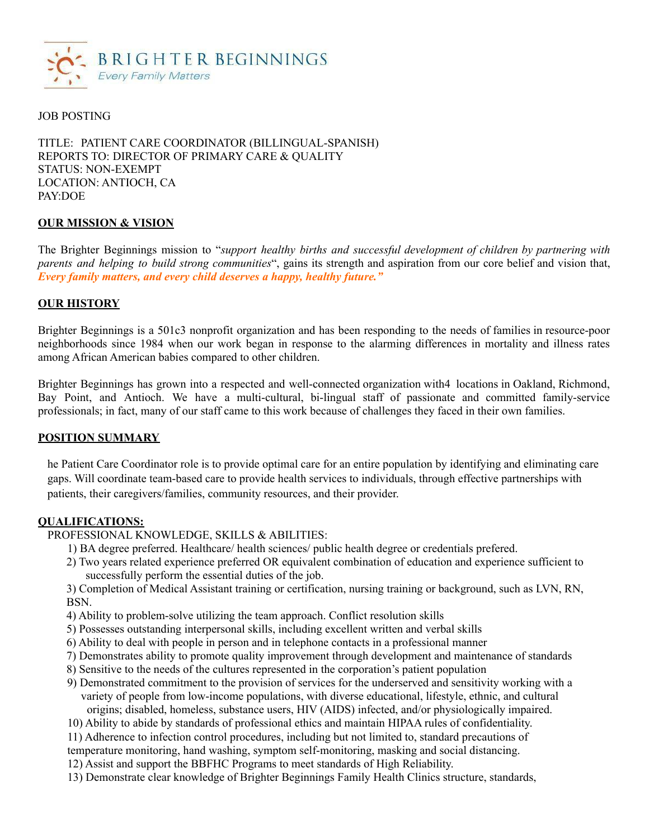

## JOB POSTING

TITLE: PATIENT CARE COORDINATOR (BILLINGUAL-SPANISH) REPORTS TO: DIRECTOR OF PRIMARY CARE & QUALITY STATUS: NON-EXEMPT LOCATION: ANTIOCH, CA PAY:DOE

### **OUR MISSION & VISION**

The Brighter Beginnings mission to "*support healthy births and successful development of children by partnering with parents and helping to build strong communities*", gains its strength and aspiration from our core belief and vision that, *Every family matters, and every child deserves a happy, healthy future."*

## **OUR HISTORY**

Brighter Beginnings is a 501c3 nonprofit organization and has been responding to the needs of families in resource-poor neighborhoods since 1984 when our work began in response to the alarming differences in mortality and illness rates among African American babies compared to other children.

Brighter Beginnings has grown into a respected and well-connected organization with4 locations in Oakland, Richmond, Bay Point, and Antioch. We have a multi-cultural, bi-lingual staff of passionate and committed family-service professionals; in fact, many of our staff came to this work because of challenges they faced in their own families.

### **POSITION SUMMARY**

he Patient Care Coordinator role is to provide optimal care for an entire population by identifying and eliminating care gaps. Will coordinate team-based care to provide health services to individuals, through effective partnerships with patients, their caregivers/families, community resources, and their provider.

#### **QUALIFICATIONS:**

PROFESSIONAL KNOWLEDGE, SKILLS & ABILITIES:

- 1) BA degree preferred. Healthcare/ health sciences/ public health degree or credentials prefered.
- 2) Two years related experience preferred OR equivalent combination of education and experience sufficient to successfully perform the essential duties of the job.

3) Completion of Medical Assistant training or certification, nursing training or background, such as LVN, RN, **BSN** 

- 4) Ability to problem-solve utilizing the team approach. Conflict resolution skills
- 5) Possesses outstanding interpersonal skills, including excellent written and verbal skills
- 6) Ability to deal with people in person and in telephone contacts in a professional manner
- 7) Demonstrates ability to promote quality improvement through development and maintenance of standards
- 8) Sensitive to the needs of the cultures represented in the corporation's patient population
- 9) Demonstrated commitment to the provision of services for the underserved and sensitivity working with a variety of people from low-income populations, with diverse educational, lifestyle, ethnic, and cultural origins; disabled, homeless, substance users, HIV (AIDS) infected, and/or physiologically impaired.
- 10) Ability to abide by standards of professional ethics and maintain HIPAA rules of confidentiality.
- 11) Adherence to infection control procedures, including but not limited to, standard precautions of
- temperature monitoring, hand washing, symptom self-monitoring, masking and social distancing.
- 12) Assist and support the BBFHC Programs to meet standards of High Reliability.
- 13) Demonstrate clear knowledge of Brighter Beginnings Family Health Clinics structure, standards,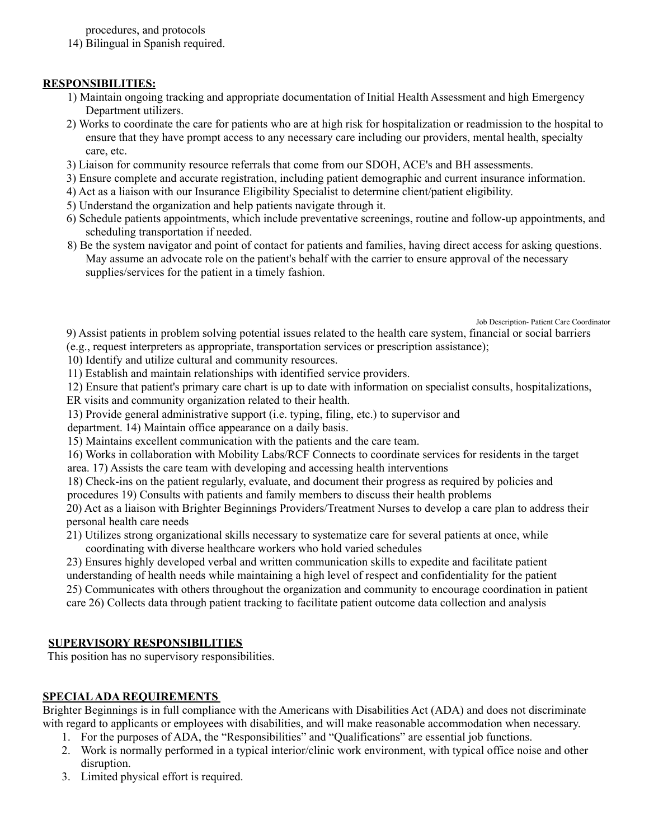procedures, and protocols

14) Bilingual in Spanish required.

## **RESPONSIBILITIES:**

- 1) Maintain ongoing tracking and appropriate documentation of Initial Health Assessment and high Emergency Department utilizers.
- 2) Works to coordinate the care for patients who are at high risk for hospitalization or readmission to the hospital to ensure that they have prompt access to any necessary care including our providers, mental health, specialty care, etc.
- 3) Liaison for community resource referrals that come from our SDOH, ACE's and BH assessments.
- 3) Ensure complete and accurate registration, including patient demographic and current insurance information.
- 4) Act as a liaison with our Insurance Eligibility Specialist to determine client/patient eligibility.
- 5) Understand the organization and help patients navigate through it.
- 6) Schedule patients appointments, which include preventative screenings, routine and follow-up appointments, and scheduling transportation if needed.
- 8) Be the system navigator and point of contact for patients and families, having direct access for asking questions. May assume an advocate role on the patient's behalf with the carrier to ensure approval of the necessary supplies/services for the patient in a timely fashion.

Job Description- Patient Care Coordinator

9) Assist patients in problem solving potential issues related to the health care system, financial or social barriers (e.g., request interpreters as appropriate, transportation services or prescription assistance);

10) Identify and utilize cultural and community resources.

11) Establish and maintain relationships with identified service providers.

12) Ensure that patient's primary care chart is up to date with information on specialist consults, hospitalizations,

ER visits and community organization related to their health.

13) Provide general administrative support (i.e. typing, filing, etc.) to supervisor and

department. 14) Maintain office appearance on a daily basis.

15) Maintains excellent communication with the patients and the care team.

16) Works in collaboration with Mobility Labs/RCF Connects to coordinate services for residents in the target area. 17) Assists the care team with developing and accessing health interventions

18) Check-ins on the patient regularly, evaluate, and document their progress as required by policies and procedures 19) Consults with patients and family members to discuss their health problems

20) Act as a liaison with Brighter Beginnings Providers/Treatment Nurses to develop a care plan to address their personal health care needs

21) Utilizes strong organizational skills necessary to systematize care for several patients at once, while coordinating with diverse healthcare workers who hold varied schedules

23) Ensures highly developed verbal and written communication skills to expedite and facilitate patient understanding of health needs while maintaining a high level of respect and confidentiality for the patient 25) Communicates with others throughout the organization and community to encourage coordination in patient care 26) Collects data through patient tracking to facilitate patient outcome data collection and analysis

# **SUPERVISORY RESPONSIBILITIES**

This position has no supervisory responsibilities.

## **SPECIALADA REQUIREMENTS**

Brighter Beginnings is in full compliance with the Americans with Disabilities Act (ADA) and does not discriminate with regard to applicants or employees with disabilities, and will make reasonable accommodation when necessary.

- 1. For the purposes of ADA, the "Responsibilities" and "Qualifications" are essential job functions.
- 2. Work is normally performed in a typical interior/clinic work environment, with typical office noise and other disruption.
- 3. Limited physical effort is required.